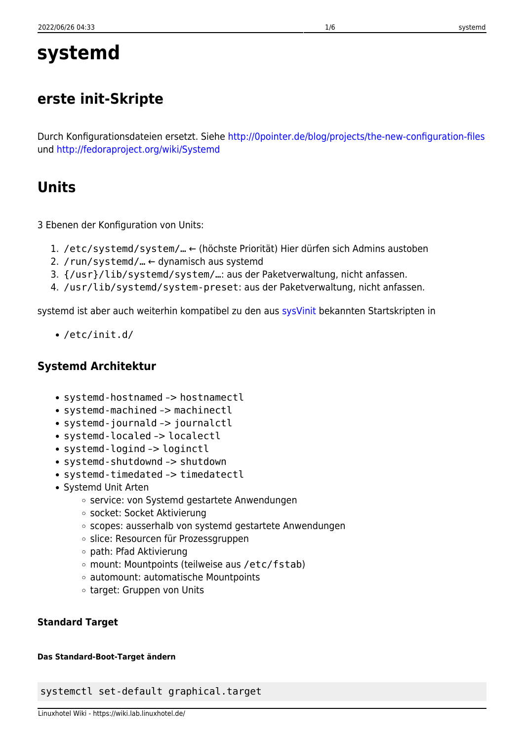# **systemd**

## **erste init-Skripte**

Durch Konfigurationsdateien ersetzt. Siehe<http://0pointer.de/blog/projects/the-new-configuration-files> und<http://fedoraproject.org/wiki/Systemd>

## **Units**

3 Ebenen der Konfiguration von Units:

- 1. /etc/systemd/system/… ← (höchste Priorität) Hier dürfen sich Admins austoben
- 2. / run/systemd/...  $\leftarrow$  dynamisch aus systemd
- 3. {/usr}/lib/systemd/system/…: aus der Paketverwaltung, nicht anfassen.
- 4. /usr/lib/systemd/system-preset: aus der Paketverwaltung, nicht anfassen.

systemd ist aber auch weiterhin kompatibel zu den aus [sysVinit](https://wiki.lab.linuxhotel.de/doku.php/lpi1:init) bekannten Startskripten in

/etc/init.d/

## **Systemd Architektur**

- systemd-hostnamed -> hostnamectl
- systemd-machined –> machinectl
- systemd-journald -> journalctl
- systemd-localed –> localectl
- systemd-logind -> loginctl
- systemd-shutdownd -> shutdown
- systemd-timedated –> timedatectl
- Systemd Unit Arten
	- o service: von Systemd gestartete Anwendungen
	- socket: Socket Aktivierung
	- o scopes: ausserhalb von systemd gestartete Anwendungen
	- o slice: Resourcen für Prozessgruppen
	- path: Pfad Aktivierung
	- mount: Mountpoints (teilweise aus /etc/fstab)
	- automount: automatische Mountpoints
	- target: Gruppen von Units

## **Standard Target**

## **Das Standard-Boot-Target ändern**

systemctl set-default graphical.target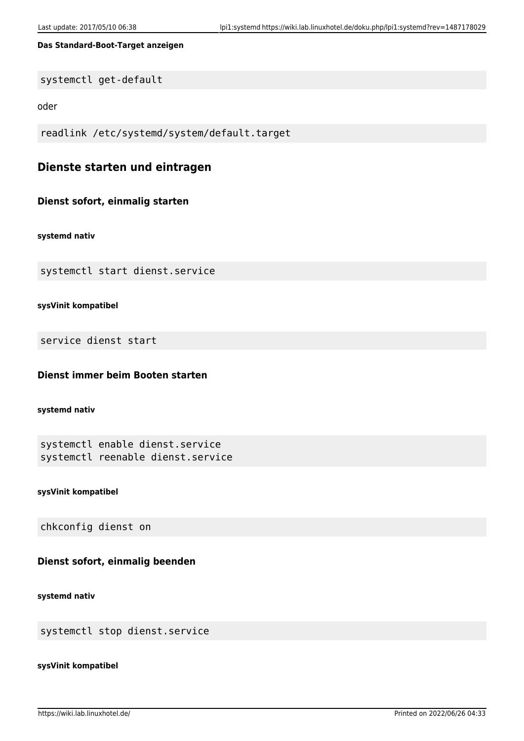### **Das Standard-Boot-Target anzeigen**

systemctl get-default

oder

readlink /etc/systemd/system/default.target

## **Dienste starten und eintragen**

## **Dienst sofort, einmalig starten**

**systemd nativ**

systemctl start dienst.service

**sysVinit kompatibel**

service dienst start

## **Dienst immer beim Booten starten**

**systemd nativ**

```
systemctl enable dienst.service
systemctl reenable dienst.service
```
**sysVinit kompatibel**

chkconfig dienst on

### **Dienst sofort, einmalig beenden**

**systemd nativ**

systemctl stop dienst.service

#### **sysVinit kompatibel**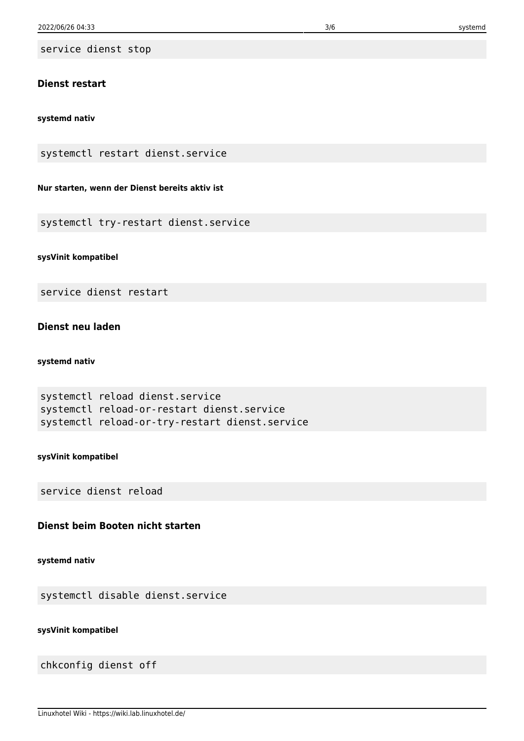service dienst stop

## **Dienst restart**

#### **systemd nativ**

systemctl restart dienst.service

## **Nur starten, wenn der Dienst bereits aktiv ist**

systemctl try-restart dienst.service

### **sysVinit kompatibel**

service dienst restart

## **Dienst neu laden**

## **systemd nativ**

```
systemctl reload dienst.service
systemctl reload-or-restart dienst.service
systemctl reload-or-try-restart dienst.service
```
#### **sysVinit kompatibel**

service dienst reload

## **Dienst beim Booten nicht starten**

#### **systemd nativ**

systemctl disable dienst.service

## **sysVinit kompatibel**

chkconfig dienst off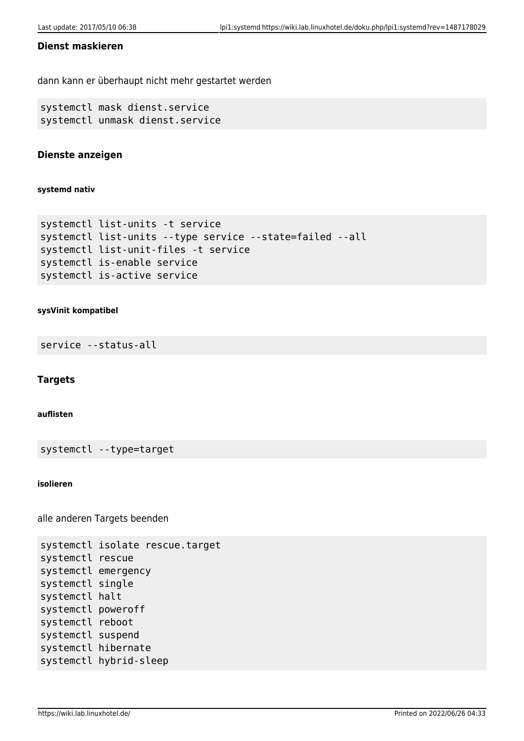## **Dienst maskieren**

dann kann er überhaupt nicht mehr gestartet werden

```
systemctl mask dienst.service
systemctl unmask dienst.service
```
## **Dienste anzeigen**

**systemd nativ**

```
systemctl list-units -t service
systemctl list-units --type service --state=failed --all
systemctl list-unit-files -t service
systemctl is-enable service
systemctl is-active service
```
### **sysVinit kompatibel**

service --status-all

### **Targets**

#### **auflisten**

systemctl --type=target

#### **isolieren**

alle anderen Targets beenden

```
systemctl isolate rescue.target
systemctl rescue
systemctl emergency
systemctl single
systemctl halt
systemctl poweroff
systemctl reboot
systemctl suspend
systemctl hibernate
systemctl hybrid-sleep
```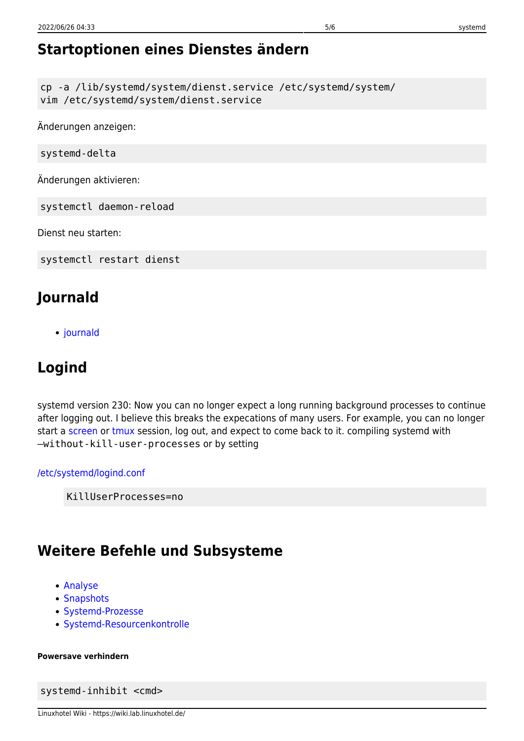cp -a /lib/systemd/system/dienst.service /etc/systemd/system/ vim /etc/systemd/system/dienst.service

Änderungen anzeigen:

systemd-delta

Änderungen aktivieren:

systemctl daemon-reload

Dienst neu starten:

systemctl restart dienst

## **Journald**

• [journald](https://wiki.lab.linuxhotel.de/doku.php/lpi1:journald)

## **Logind**

systemd version 230: Now you can no longer expect a long running background processes to continue after logging out. I believe this breaks the expecations of many users. For example, you can no longer start a [screen](https://wiki.lab.linuxhotel.de/doku.php/lpi1:screen) or [tmux](https://wiki.lab.linuxhotel.de/doku.php/lpi1:tmux) session, log out, and expect to come back to it. compiling systemd with –without-kill-user-processes or by setting

[/etc/systemd/logind.conf](https://wiki.lab.linuxhotel.de/doku.php/lpi1:systemd?do=export_code&codeblock=0)

KillUserProcesses=no

## **Weitere Befehle und Subsysteme**

- [Analyse](https://wiki.lab.linuxhotel.de/doku.php/lpi1:analyse)
- [Snapshots](https://wiki.lab.linuxhotel.de/doku.php/lpi1:snapshots)
- [Systemd-Prozesse](https://wiki.lab.linuxhotel.de/doku.php/lpi1:systemd-prozesse)
- [Systemd-Resourcenkontrolle](https://wiki.lab.linuxhotel.de/doku.php/lpi1:systemd-resourcenkontrolle)

### **Powersave verhindern**

systemd-inhibit <cmd>